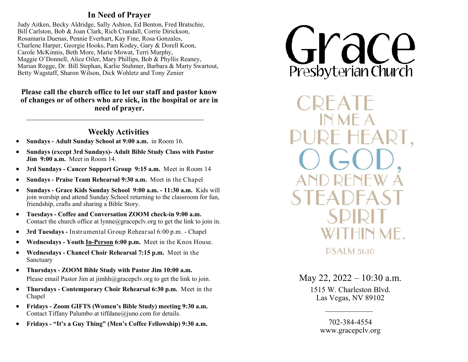## **In Need of Prayer**

Judy Aitken, Becky Aldridge, Sally Ashton, Ed Benton, Fred Bratschie, Bill Carlston, Bob & Joan Clark, Rich Crandall, Corrie Dirickson, Rosamaria Duenas, Pennie Everhart, Kay Fine, Rosa Gonzales, Charlene Harper, Georgie Hooks, Pam Kodey, Gary & Dorell Koon, Carole McKinnis, Beth More, Marie Mowat, Terri Murphy, Maggie O'Donnell, Alice Oiler, Mary Phillips, Bob & Phyllis Reaney, Marian Rogge, Dr. Bill Stephan, Karlie Stuhmer, Barbara & Marty Swartout, Betty Wagstaff, Sharon Wilson, Dick Wohletz and Tony Zenier

## **Please call the church office to let our staff and pastor know of changes or of others who are sick, in the hospital or are in need of prayer.**

## **Weekly Activities**

- **Sundays - Adult Sunday School at 9:00 a.m.** in Room 16.
- **Sundays (except 3rd Sundays)- Adult Bible Study Class with Pastor Jim 9:00 a.m.** Meet in Room 14.
- **3rd Sundays - Cancer Support Group 9:15 a.m.** Meet in Room 14
- **Sundays - Praise Team Rehearsal 9:30 a.m.** Meet in the Chapel
- **Sundays - Grace Kids Sunday School 9:00 a.m. - 11:30 a.m.** Kids will join worship and attend Sunday School returning to the classroom for fun, friendship, crafts and sharing a Bible Story.
- **Tuesdays - Coffee and Conversation ZOOM check-in 9:00 a.m.**  Contac[t t](mailto:dana@gracepclv.org?subject=Requesting%20Zoom%20Link%20for%20Coffee%20with%20Pastor%20Dana)he church office at lynne@gracepcly.org to get the link to join in.
- **3rd Tuesdays -** Instrumental Group Rehearsal 6:00 p.m. Chapel
- **Wednesdays - Youth In-Person 6:00 p.m.** Meet in the Knox House.
- **Wednesdays - Chancel Choir Rehearsal 7:15 p.m.** Meet in the Sanctuary
- **Thursdays - ZOOM Bible Study with Pastor Jim 10:00 a.m.**  Please email Pastor Jim at  $\limh(\partial g)$  gracepcly.org to get the link to join.
- **Thursdays - Contemporary Choir Rehearsal 6:30 p.m.** Meet in the Chapel
- **Fridays - Zoom GIFTS (Women's Bible Study) meeting 9:30 a.m.**  Contact Tiffany Palumbo at tiffdane@juno.com for details.
- **Fridays - "It's a Guy Thing" (Men's Coffee Fellowship) 9:30 a.m.**



**PSALM 51:10** 

May 22, 2022 – 10:30 a.m.

1515 W. Charleston Blvd. Las Vegas, NV 89102

> 702-384-4554 www.gracepclv.org